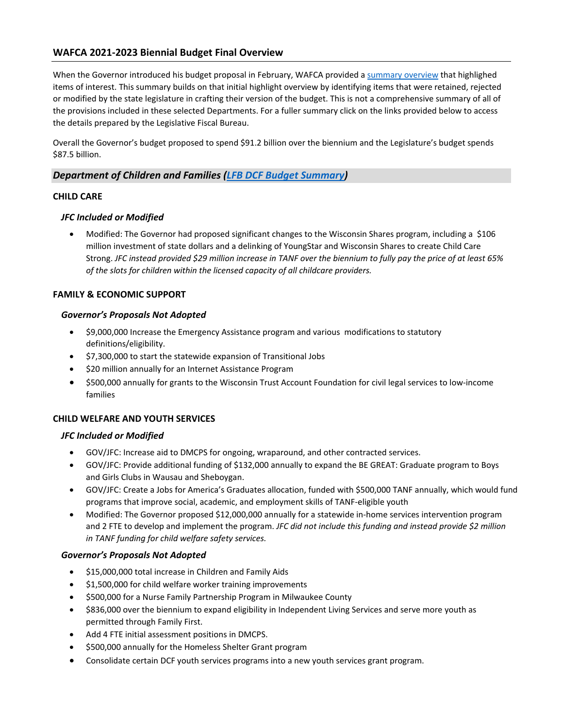# **WAFCA 2021-2023 Biennial Budget Final Overview**

When the Governor introduced his budget proposal in February, WAFCA provided [a summary overview](https://wafca.memberclicks.net/assets/docs/LS2021/WAFCA%202021-23%20Biennial%20Budget%20Summary%20%20%283.10.21%29.pdf) that highlighed items of interest. This summary builds on that initial highlight overview by identifying items that were retained, rejected or modified by the state legislature in crafting their version of the budget. This is not a comprehensive summary of all of the provisions included in these selected Departments. For a fuller summary click on the links provided below to access the details prepared by the Legislative Fiscal Bureau.

Overall the Governor's budget proposed to spend \$91.2 billion over the biennium and the Legislature's budget spends \$87.5 billion.

# *Department of Children and Families [\(LFB DCF Budget](https://docs.legis.wisconsin.gov/misc/lfb/budget/2021_23_biennial_budget/400_comparative_summary_of_budget_recommendations_governor_and_joint_committee_on_finance_june_2021_by_agency/children_and_families.pdf) Summary)*

### **CHILD CARE**

# *JFC Included or Modified*

• Modified: The Governor had proposed significant changes to the Wisconsin Shares program, including a \$106 million investment of state dollars and a delinking of YoungStar and Wisconsin Shares to create Child Care Strong. *JFC instead provided \$29 million increase in TANF over the biennium to fully pay the price of at least 65% of the slots for children within the licensed capacity of all childcare providers.*

### **FAMILY & ECONOMIC SUPPORT**

#### *Governor's Proposals Not Adopted*

- \$9,000,000 Increase the Emergency Assistance program and various modifications to statutory definitions/eligibility.
- \$7,300,000 to start the statewide expansion of Transitional Jobs
- \$20 million annually for an Internet Assistance Program
- \$500,000 annually for grants to the Wisconsin Trust Account Foundation for civil legal services to low-income families

# **CHILD WELFARE AND YOUTH SERVICES**

#### *JFC Included or Modified*

- GOV/JFC: Increase aid to DMCPS for ongoing, wraparound, and other contracted services.
- GOV/JFC: Provide additional funding of \$132,000 annually to expand the BE GREAT: Graduate program to Boys and Girls Clubs in Wausau and Sheboygan.
- GOV/JFC: Create a Jobs for America's Graduates allocation, funded with \$500,000 TANF annually, which would fund programs that improve social, academic, and employment skills of TANF-eligible youth
- Modified: The Governor proposed \$12,000,000 annually for a statewide in-home services intervention program and 2 FTE to develop and implement the program. *JFC did not include this funding and instead provide \$2 million in TANF funding for child welfare safety services.*

#### *Governor's Proposals Not Adopted*

- \$15,000,000 total increase in Children and Family Aids
- \$1,500,000 for child welfare worker training improvements
- \$500,000 for a Nurse Family Partnership Program in Milwaukee County
- \$836,000 over the biennium to expand eligibility in Independent Living Services and serve more youth as permitted through Family First.
- Add 4 FTE initial assessment positions in DMCPS.
- \$500,000 annually for the Homeless Shelter Grant program
- Consolidate certain DCF youth services programs into a new youth services grant program.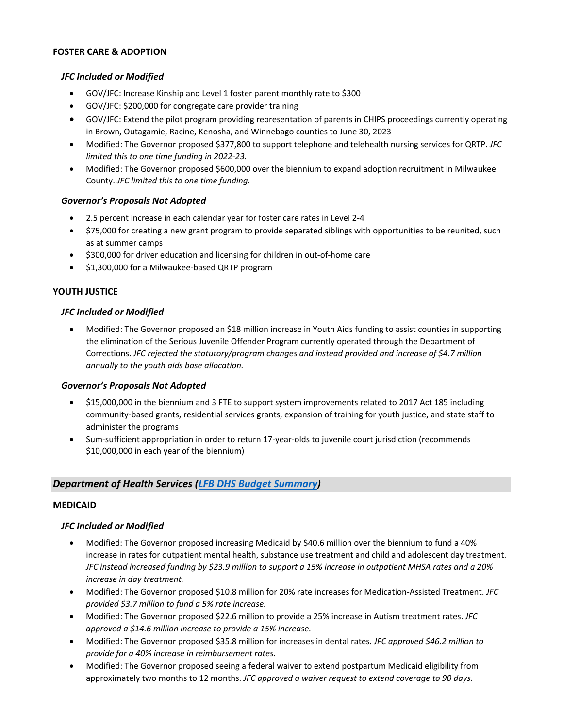### **FOSTER CARE & ADOPTION**

#### *JFC Included or Modified*

- GOV/JFC: Increase Kinship and Level 1 foster parent monthly rate to \$300
- GOV/JFC: \$200,000 for congregate care provider training
- GOV/JFC: Extend the pilot program providing representation of parents in CHIPS proceedings currently operating in Brown, Outagamie, Racine, Kenosha, and Winnebago counties to June 30, 2023
- Modified: The Governor proposed \$377,800 to support telephone and telehealth nursing services for QRTP. *JFC limited this to one time funding in 2022-23.*
- Modified: The Governor proposed \$600,000 over the biennium to expand adoption recruitment in Milwaukee County. *JFC limited this to one time funding.*

### *Governor's Proposals Not Adopted*

- 2.5 percent increase in each calendar year for foster care rates in Level 2-4
- \$75,000 for creating a new grant program to provide separated siblings with opportunities to be reunited, such as at summer camps
- \$300,000 for driver education and licensing for children in out-of-home care
- \$1,300,000 for a Milwaukee-based QRTP program

### **YOUTH JUSTICE**

### *JFC Included or Modified*

• Modified: The Governor proposed an \$18 million increase in Youth Aids funding to assist counties in supporting the elimination of the Serious Juvenile Offender Program currently operated through the Department of Corrections. *JFC rejected the statutory/program changes and instead provided and increase of \$4.7 million annually to the youth aids base allocation.*

#### *Governor's Proposals Not Adopted*

- \$15,000,000 in the biennium and 3 FTE to support system improvements related to 2017 Act 185 including community-based grants, residential services grants, expansion of training for youth justice, and state staff to administer the programs
- Sum-sufficient appropriation in order to return 17-year-olds to juvenile court jurisdiction (recommends \$10,000,000 in each year of the biennium)

# *Department of Health Services [\(LFB DHS Budget Summary\)](https://docs.legis.wisconsin.gov/misc/lfb/budget/2021_23_biennial_budget/400_comparative_summary_of_budget_recommendations_governor_and_joint_committee_on_finance_june_2021_by_agency/health_services.pdf)*

#### **MEDICAID**

# *JFC Included or Modified*

- Modified: The Governor proposed increasing Medicaid by \$40.6 million over the biennium to fund a 40% increase in rates for outpatient mental health, substance use treatment and child and adolescent day treatment. *JFC instead increased funding by \$23.9 million to support a 15% increase in outpatient MHSA rates and a 20% increase in day treatment.*
- Modified: The Governor proposed \$10.8 million for 20% rate increases for Medication-Assisted Treatment. *JFC provided \$3.7 million to fund a 5% rate increase.*
- Modified: The Governor proposed \$22.6 million to provide a 25% increase in Autism treatment rates. *JFC approved a \$14.6 million increase to provide a 15% increase.*
- Modified: The Governor proposed \$35.8 million for increases in dental rates*. JFC approved \$46.2 million to provide for a 40% increase in reimbursement rates.*
- Modified: The Governor proposed seeing a federal waiver to extend postpartum Medicaid eligibility from approximately two months to 12 months. *JFC approved a waiver request to extend coverage to 90 days.*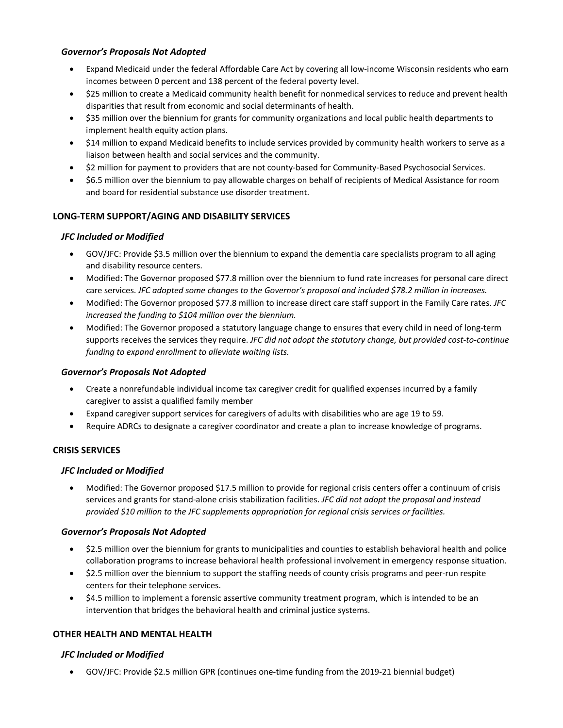# *Governor's Proposals Not Adopted*

- Expand Medicaid under the federal Affordable Care Act by covering all low-income Wisconsin residents who earn incomes between 0 percent and 138 percent of the federal poverty level.
- \$25 million to create a Medicaid community health benefit for nonmedical services to reduce and prevent health disparities that result from economic and social determinants of health.
- \$35 million over the biennium for grants for community organizations and local public health departments to implement health equity action plans.
- \$14 million to expand Medicaid benefits to include services provided by community health workers to serve as a liaison between health and social services and the community.
- \$2 million for payment to providers that are not county-based for Community-Based Psychosocial Services.
- \$6.5 million over the biennium to pay allowable charges on behalf of recipients of Medical Assistance for room and board for residential substance use disorder treatment.

# **LONG-TERM SUPPORT/AGING AND DISABILITY SERVICES**

# *JFC Included or Modified*

- GOV/JFC: Provide \$3.5 million over the biennium to expand the dementia care specialists program to all aging and disability resource centers.
- Modified: The Governor proposed \$77.8 million over the biennium to fund rate increases for personal care direct care services. *JFC adopted some changes to the Governor's proposal and included \$78.2 million in increases.*
- Modified: The Governor proposed \$77.8 million to increase direct care staff support in the Family Care rates. *JFC increased the funding to \$104 million over the biennium.*
- Modified: The Governor proposed a statutory language change to ensures that every child in need of long-term supports receives the services they require. *JFC did not adopt the statutory change, but provided cost-to-continue funding to expand enrollment to alleviate waiting lists.*

# *Governor's Proposals Not Adopted*

- Create a nonrefundable individual income tax caregiver credit for qualified expenses incurred by a family caregiver to assist a qualified family member
- Expand caregiver support services for caregivers of adults with disabilities who are age 19 to 59.
- Require ADRCs to designate a caregiver coordinator and create a plan to increase knowledge of programs.

# **CRISIS SERVICES**

# *JFC Included or Modified*

• Modified: The Governor proposed \$17.5 million to provide for regional crisis centers offer a continuum of crisis services and grants for stand-alone crisis stabilization facilities. *JFC did not adopt the proposal and instead provided \$10 million to the JFC supplements appropriation for regional crisis services or facilities.*

#### *Governor's Proposals Not Adopted*

- \$2.5 million over the biennium for grants to municipalities and counties to establish behavioral health and police collaboration programs to increase behavioral health professional involvement in emergency response situation.
- \$2.5 million over the biennium to support the staffing needs of county crisis programs and peer-run respite centers for their telephone services.
- \$4.5 million to implement a forensic assertive community treatment program, which is intended to be an intervention that bridges the behavioral health and criminal justice systems.

# **OTHER HEALTH AND MENTAL HEALTH**

# *JFC Included or Modified*

• GOV/JFC: Provide \$2.5 million GPR (continues one-time funding from the 2019-21 biennial budget)